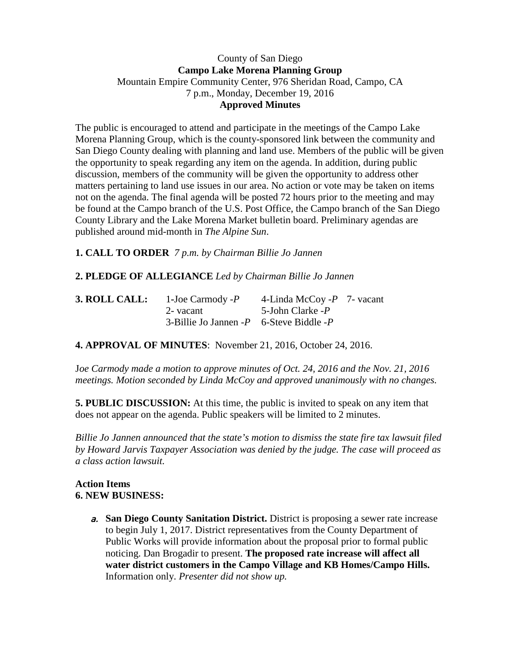### County of San Diego **Campo Lake Morena Planning Group** Mountain Empire Community Center, 976 Sheridan Road, Campo, CA 7 p.m., Monday, December 19, 2016 **Approved Minutes**

The public is encouraged to attend and participate in the meetings of the Campo Lake Morena Planning Group, which is the county-sponsored link between the community and San Diego County dealing with planning and land use. Members of the public will be given the opportunity to speak regarding any item on the agenda. In addition, during public discussion, members of the community will be given the opportunity to address other matters pertaining to land use issues in our area. No action or vote may be taken on items not on the agenda. The final agenda will be posted 72 hours prior to the meeting and may be found at the Campo branch of the U.S. Post Office, the Campo branch of the San Diego County Library and the Lake Morena Market bulletin board. Preliminary agendas are published around mid-month in *The Alpine Sun*.

**1. CALL TO ORDER** *7 p.m. by Chairman Billie Jo Jannen*

# **2. PLEDGE OF ALLEGIANCE** *Led by Chairman Billie Jo Jannen*

| <b>3. ROLL CALL:</b> | 1-Joe Carmody -P                              | 4-Linda McCoy - $P$ 7- vacant |  |
|----------------------|-----------------------------------------------|-------------------------------|--|
|                      | 2- vacant                                     | 5-John Clarke -P              |  |
|                      | 3-Billie Jo Jannen - $P$ 6-Steve Biddle - $P$ |                               |  |

## **4. APPROVAL OF MINUTES**: November 21, 2016, October 24, 2016.

J*oe Carmody made a motion to approve minutes of Oct. 24, 2016 and the Nov. 21, 2016 meetings. Motion seconded by Linda McCoy and approved unanimously with no changes.* 

**5. PUBLIC DISCUSSION:** At this time, the public is invited to speak on any item that does not appear on the agenda. Public speakers will be limited to 2 minutes.

*Billie Jo Jannen announced that the state's motion to dismiss the state fire tax lawsuit filed by Howard Jarvis Taxpayer Association was denied by the judge. The case will proceed as a class action lawsuit.*

## **Action Items 6. NEW BUSINESS:**

a. **San Diego County Sanitation District.** District is proposing a sewer rate increase to begin July 1, 2017. District representatives from the County Department of Public Works will provide information about the proposal prior to formal public noticing. Dan Brogadir to present. **The proposed rate increase will affect all water district customers in the Campo Village and KB Homes/Campo Hills.**  Information only. *Presenter did not show up.*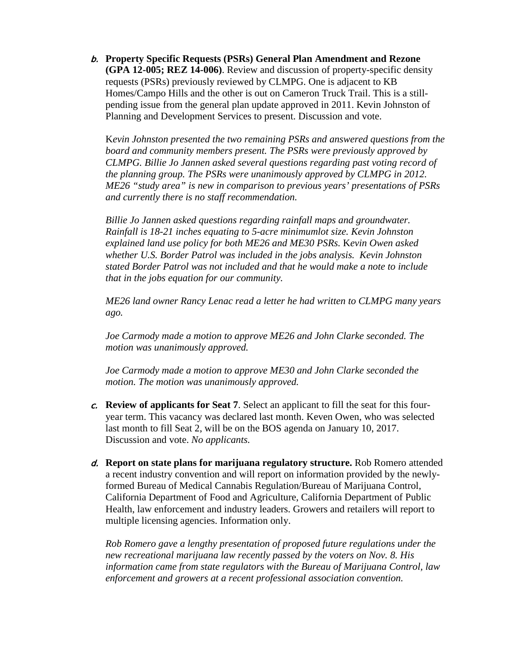b. **Property Specific Requests (PSRs) General Plan Amendment and Rezone (GPA 12-005; REZ 14-006)**. Review and discussion of property-specific density requests (PSRs) previously reviewed by CLMPG. One is adjacent to KB Homes/Campo Hills and the other is out on Cameron Truck Trail. This is a stillpending issue from the general plan update approved in 2011. Kevin Johnston of Planning and Development Services to present. Discussion and vote.

K*evin Johnston presented the two remaining PSRs and answered questions from the board and community members present. The PSRs were previously approved by CLMPG. Billie Jo Jannen asked several questions regarding past voting record of the planning group. The PSRs were unanimously approved by CLMPG in 2012. ME26 "study area" is new in comparison to previous years' presentations of PSRs and currently there is no staff recommendation.*

*Billie Jo Jannen asked questions regarding rainfall maps and groundwater. Rainfall is 18-21 inches equating to 5-acre minimumlot size. Kevin Johnston explained land use policy for both ME26 and ME30 PSRs.* K*evin Owen asked whether U.S. Border Patrol was included in the jobs analysis. Kevin Johnston stated Border Patrol was not included and that he would make a note to include that in the jobs equation for our community.*

*ME26 land owner Rancy Lenac read a letter he had written to CLMPG many years ago.* 

*Joe Carmody made a motion to approve ME26 and John Clarke seconded. The motion was unanimously approved.*

*Joe Carmody made a motion to approve ME30 and John Clarke seconded the motion. The motion was unanimously approved.*

- c. **Review of applicants for Seat 7**. Select an applicant to fill the seat for this fouryear term. This vacancy was declared last month. Keven Owen, who was selected last month to fill Seat 2, will be on the BOS agenda on January 10, 2017. Discussion and vote. *No applicants.*
- d. **Report on state plans for marijuana regulatory structure.** Rob Romero attended a recent industry convention and will report on information provided by the newlyformed Bureau of Medical Cannabis Regulation/Bureau of Marijuana Control, California Department of Food and Agriculture, California Department of Public Health, law enforcement and industry leaders. Growers and retailers will report to multiple licensing agencies. Information only.

*Rob Romero gave a lengthy presentation of proposed future regulations under the new recreational marijuana law recently passed by the voters on Nov. 8. His information came from state regulators with the Bureau of Marijuana Control, law enforcement and growers at a recent professional association convention.*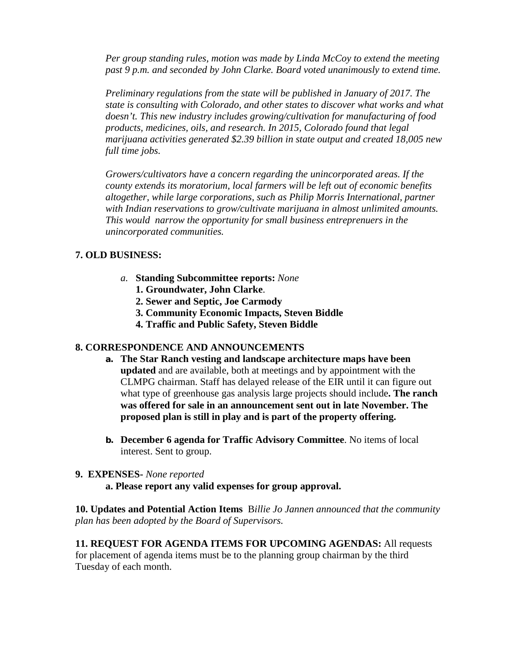*Per group standing rules, motion was made by Linda McCoy to extend the meeting past 9 p.m. and seconded by John Clarke. Board voted unanimously to extend time.*

*Preliminary regulations from the state will be published in January of 2017. The state is consulting with Colorado, and other states to discover what works and what doesn't. This new industry includes growing/cultivation for manufacturing of food products, medicines, oils, and research. In 2015, Colorado found that legal marijuana activities generated \$2.39 billion in state output and created 18,005 new full time jobs.*

*Growers/cultivators have a concern regarding the unincorporated areas. If the county extends its moratorium, local farmers will be left out of economic benefits altogether, while large corporations, such as Philip Morris International, partner with Indian reservations to grow/cultivate marijuana in almost unlimited amounts. This would narrow the opportunity for small business entreprenuers in the unincorporated communities.*

## **7. OLD BUSINESS:**

- *a.* **Standing Subcommittee reports:** *None*
	- **1. Groundwater, John Clarke**.
	- **2. Sewer and Septic, Joe Carmody**
	- **3. Community Economic Impacts, Steven Biddle**
	- **4. Traffic and Public Safety, Steven Biddle**

## **8. CORRESPONDENCE AND ANNOUNCEMENTS**

- **a. The Star Ranch vesting and landscape architecture maps have been updated** and are available, both at meetings and by appointment with the CLMPG chairman. Staff has delayed release of the EIR until it can figure out what type of greenhouse gas analysis large projects should include**. The ranch was offered for sale in an announcement sent out in late November. The proposed plan is still in play and is part of the property offering.**
- **b. December 6 agenda for Traffic Advisory Committee**. No items of local interest. Sent to group.

## **9. EXPENSES-** *None reported*

**a. Please report any valid expenses for group approval.** 

**10. Updates and Potential Action Items** B*illie Jo Jannen announced that the community plan has been adopted by the Board of Supervisors.*

**11. REQUEST FOR AGENDA ITEMS FOR UPCOMING AGENDAS:** All requests for placement of agenda items must be to the planning group chairman by the third Tuesday of each month.